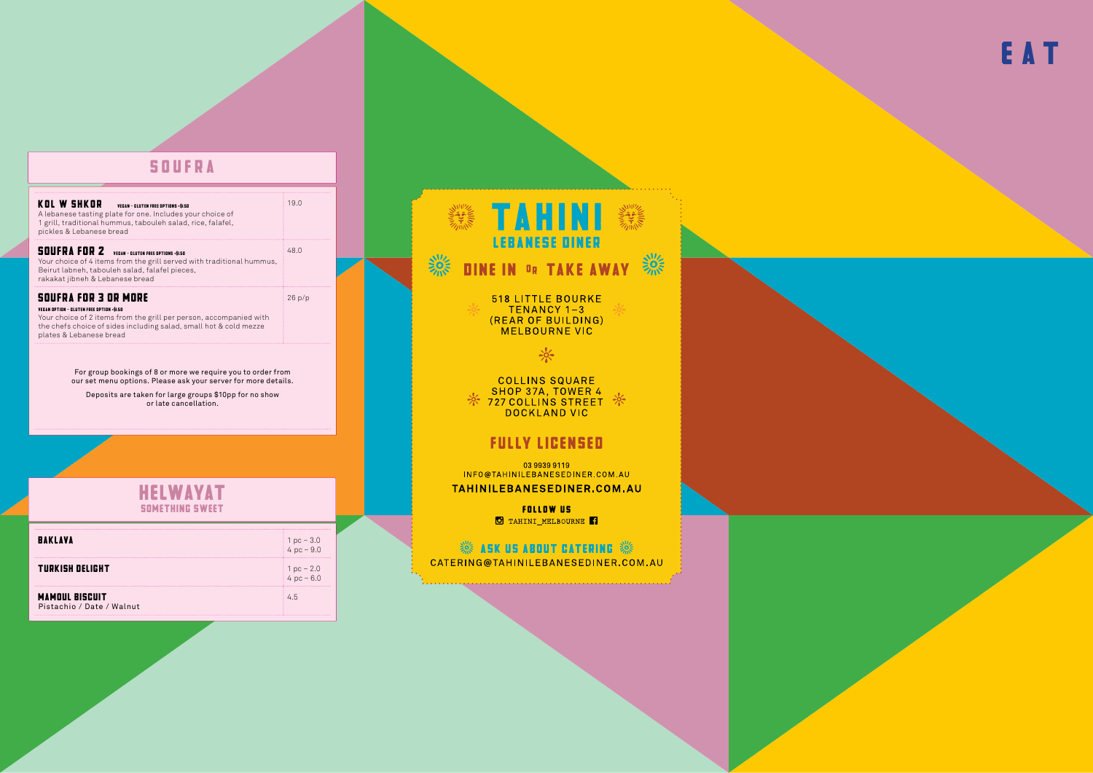### **SOUFRA**

|                                    | KOL W SHKOR<br><b>VEGAN - GLUTEN FREE OPTIONS +\$1.50</b><br>A lebanese tasting plate for one. Includes your choice of<br>1 grill, traditional hummus, tabouleh salad, rice, falafel,<br>pickles & Lebanese bread                                     | 19.0                        |  |
|------------------------------------|-------------------------------------------------------------------------------------------------------------------------------------------------------------------------------------------------------------------------------------------------------|-----------------------------|--|
|                                    | SOUFRA FOR 2<br><b>VEGAN - GLUTEN FREE OPTIONS +\$1.50</b><br>Your choice of 4 items from the grill served with traditional hummus,<br>Beirut labneh, tabouleh salad, falafel pieces,<br>rakakat jibneh & Lebanese bread                              | 48.0                        |  |
|                                    | <b>SOUFRA FOR 3 OR MORE</b><br><b>VEGAN OPTION - GLUTEN FREE OPTION +\$1.50</b><br>Your choice of 2 items from the grill per person, accompanied with<br>the chefs choice of sides including salad, small hot & cold mezze<br>plates & Lebanese bread | 26p/p                       |  |
|                                    | For group bookings of 8 or more we require you to order from<br>our set menu options. Please ask your server for more details.<br>Deposits are taken for large groups \$10pp for no show<br>or late cancellation.                                     |                             |  |
|                                    |                                                                                                                                                                                                                                                       |                             |  |
| HELWAYAT<br><b>SOMETHING SWEET</b> |                                                                                                                                                                                                                                                       |                             |  |
|                                    | <b>BAKLAVA</b>                                                                                                                                                                                                                                        | 1 pc $-3.0$<br>$4 pc - 9.0$ |  |
|                                    | TURKISH DELIGHT                                                                                                                                                                                                                                       | $1 pc - 2.0$                |  |

**MAMOUL BISCUIT** Pistachio / Date / Walnut  $4pc - 6.0$ 

 $4.5$ 

纂 **DINE IN OR TAKE AWAY 30** 

518 LITTLE BOURKE<br>TENANCY 1-3<br>(REAR OF BUILDING)<br>MELBOURNE VIC

 $\frac{1}{2}$ 

COLLINS SQUARE<br>SHOP 37A, TOWER 4<br>T27 COLLINS STREET

#### **FULLY LICENSED**

03 9939 9119 INFO@TAHINILEBANESEDINER.COM.AU

TAHINILEBANESEDINER.COM.AU

**FOLLOW US** O TAHINI\_MELBOURNE<sup>1</sup>

#### **※ ASK US ABOUT CATERING ※**

CATERING@TAHINILEBANESEDINER.COM.AU